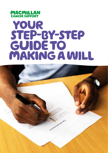

# YOUR STEP-BY-STEP GUIDETO MAKING A WILL

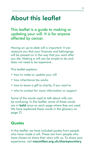## About this leaflet

### This leaflet is a guide to making or updating your will. It is for anyone affected by cancer.

Having an up-to-date will is important. It can reassure you that your finances and belongings will be passed on in the way that you want after you die. Making a will can be simple to do and does not need to be expensive.

This leaflet explains:

- how to make or update your will
- how inheritance tax works
- how to leave a gift to charity, if you want to
- who to contact for more information or support.

Some of the words used to talk about wills can be confusing. In this leaflet, some of these words are in **bold** once on each page where they are used. We have explained these words in the glossary on page 21.

### **Quotes**

In this leaflet, we have included quotes from people who have made a will. These are from people who have chosen to share their story with us. To share your experience, visit macmillan.org.uk/shareyourstory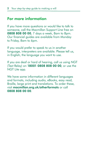### For more information

If you have more questions or would like to talk to someone, call the Macmillan Support Line free on 0808 808 00 00, 7 days a week, 8am to 8pm. Our financial guides are available from Monday to Friday, 8am to 6pm.

If you would prefer to speak to us in another language, interpreters are available. Please tell us, in English, the language you want to use.

If you are deaf or hard of hearing, call us using NGT (Text Relay) on 18001 0808 808 00 00, or use the NGT Lite app.

We have some information in different languages and formats, including audio, eBooks, easy read, Braille, large print and translations. To order these, visit macmillan.org.uk/otherformats or call 0808 808 00 00.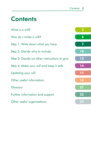## **Contents**

| What is a will?                              | 5  |
|----------------------------------------------|----|
| How do I make a will?                        | 6  |
| Step 1: Write down what you have             | 7  |
| Step 2: Decide who to include                | 10 |
| Step 3: Decide on other instructions to give | 12 |
| Step 4: Make your will and keep it safe      | 14 |
| Updating your will                           | 17 |
| Other useful information                     | 18 |
| Glossary                                     | 21 |
| Further information and support              | 22 |
| Other useful organisations                   | 24 |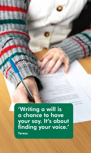'Writing a will is a chance to have your say. It's about finding your voice.'

Teresa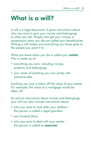## What is a will?

A will is a legal document. It gives instructions about who you want to give your money and belongings to when you die. People who get your money or possessions when you die are called your beneficiaries. Writing a will makes sure everything you leave goes to the people you want it to.

What you leave when you die is called your **estate**. This is made up of:

- everything you own, including money, property and belongings
- your share of anything you own jointly with someone else.

Anything you owe is taken off the value of your estate. For example, the value of a mortgage would be taken off.

As well as instructions about money and belongings, your will can also include instructions about:

- who you want to look after your children this person is called a legal guardian
- your funeral plans
- who you want to deal with your estate this person is called an **executor**.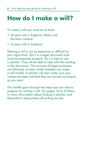## How do I make a will?

To make a will you must be at least:

- 18 years old in England, Wales and Northern Ireland
- 12 years old in Scotland.

Making a will is not as expensive or difficult as you might think. But it is a legal document and must be prepared properly. So it is best to use a solicitor. They will be able to help with the wording in the document. This ensures all legal processes are followed, as even small mistakes can make a will invalid. A solicitor will also make sure your wishes are clear and that they are carried out exactly as you want.

This leaflet goes through the steps you can take to prepare for writing a will. On pages 14 to 15 there is more information about finding a solicitor, and Macmillan's discounted will-writing service.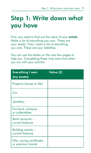## Step 1: Write down what you have

First, you need to find out the value of your **estate.** Make a list of everything you own. These are your assets. Then, make a list of everything you owe. These are your liabilities.

You can use the tables on the next few pages to help you. Completing these may save time when you are with your solicitor.

| <b>Everything I own</b><br>(my assets)               | Value (£) |
|------------------------------------------------------|-----------|
| Property (house or flat)                             |           |
| Car                                                  |           |
| <b>Jewellery</b>                                     |           |
| Furniture, antiques<br>or collectables               |           |
| Bank accounts -<br>current balance                   |           |
| Building society –<br>current balance                |           |
| <b>ISAs, saving certificates</b><br>or premium bonds |           |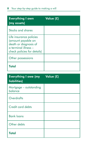| <b>Everything I own</b><br>(my assets)                                                                                        | Value (£) |
|-------------------------------------------------------------------------------------------------------------------------------|-----------|
| Stocks and shares                                                                                                             |           |
| Life insurance policies<br>(amount payable on<br>death or diagnosis of<br>a terminal illness -<br>check policies for details) |           |
| Other possessions                                                                                                             |           |
| <b>Total</b>                                                                                                                  |           |

| Everything I owe (my Value $(E)$<br>liabilities) |  |
|--------------------------------------------------|--|
| Mortgage – outstanding<br>balance                |  |
| <b>Overdrafts</b>                                |  |
| Credit card debts                                |  |
| <b>Bank loans</b>                                |  |
| Other debts                                      |  |
| <b>Total</b>                                     |  |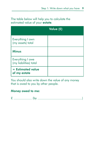The table below will help you to calculate the estimated value of your **estate**.

|                                            | Value (£) |
|--------------------------------------------|-----------|
| Everything I own<br>(my assets) total      |           |
| <b>Minus</b>                               |           |
| Everything I owe<br>(my liabilities) total |           |
| $=$ Estimated value<br>of my estate        |           |

You should also write down the value of any money that is owed to you by other people.

#### Money owed to me:

 $\mathfrak{L}$   $\qquad \qquad$   $\qquad$   $\qquad$   $\qquad$   $\qquad$   $\qquad$   $\qquad$   $\qquad$   $\qquad$   $\qquad$   $\qquad$   $\qquad$   $\qquad$   $\qquad$   $\qquad$   $\qquad$   $\qquad$   $\qquad$   $\qquad$   $\qquad$   $\qquad$   $\qquad$   $\qquad$   $\qquad$   $\qquad$   $\qquad$   $\qquad$   $\qquad$   $\qquad$   $\qquad$   $\qquad$   $\qquad$   $\qquad$   $\qquad$   $\qquad$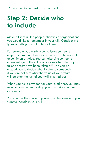## Step 2: Decide who to include

Make a list of all the people, charities or organisations you would like to remember in your will. Consider the types of gifts you want to leave them.

For example, you might want to leave someone a specific amount of money or an item with financial or sentimental value. You can also give someone a percentage of the value of your **estate**, after any taxes or costs have been taken off. This can be a good way to decide what to give to somebody if you are not sure what the value of your estate will be after the rest of your will is sorted out.

When you have provided for your loved ones, you may want to consider supporting your favourite charities or causes.

You can use the space opposite to write down who you want to include in your will.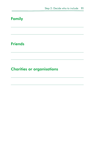## Family

### **Friends**

## Charities or organisations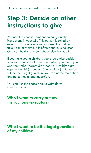## Step 3: Decide on other instructions to give

You need to choose someone to carry out the instructions in your will. This person is called an executor. This is a serious responsibility and can take up a lot of time. It is often done by a solicitor. Or it can be done by somebody else that you trust.

If you have young children, you should also decide who you want to look after them when you die. If you and their other parent die when your children are aged under 18 (or under 16 in Scotland), this person will be their legal guardian. You can name more than one person as a legal guardian.

You can use the space here to write down your instructions.

### Who I want to carry out my instructions (executors)

### Who I want to be the legal guardians of my children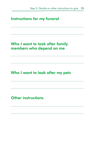### Instructions for my funeral

### Who I want to look after family members who depend on me

Who I want to look after my pets

Other instructions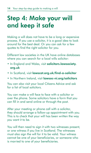## Step 4: Make your will and keep it safe

Making a will does not have to be a long or expensive process. If you use a solicitor, it is a good idea to look around for the best deal. Or you can ask for a few quotes to find the right solicitor for you.

Different law societies in the UK have online databases where you can search for a local wills solicitor:

- In England and Wales, visit solicitors.lawsociety. org.uk
- In Scotland, visit lawscot.org.uk/find-a-solicitor
- In Northern Ireland, visit lawsoc-ni.org/solicitors

You can also visit your local Citizens Advice and ask for a list of local solicitors.

You can make a will face to face with a solicitor or over the phone. Some solicitors have a form that you can fill in and send online or through the post.

After your meeting or phone call with a solicitor, they should arrange a follow-up appointment with you. This is to check that your will has been written the way you want it to be.

You will then need to sign it with two witnesses present, or one witness if you live in Scotland. The witnesses must also sign the will for it to be valid. Your witness cannot be one of your beneficiaries, or someone who is married to one of your beneficiaries.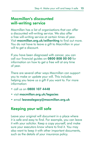### Macmillan's discounted will-writing service

Macmillan has a list of organisations that can offer a discounted will-writing service. We also offer a free will-writing service at certain times of year. Visit macmillan.org.uk/willwriting to find out more. You do not have to leave a gift to Macmillan in your will to get a discount.

If you have been diagnosed with cancer, you can call our financial guides on 0800 808 00 00 for information on how to get a free will at any time of year.

There are several other ways Macmillan can support you to make or update your will. This includes helping you leave us a gift if you want to. For more information:

- call us on 0800 107 4448
- visit macmillan.org.uk/legacies
- email leavealegacy@macmillan.org.uk

## Keeping your will safe

Leave your original will document in a place where it is safe and easy to find. For example, you can leave it with your solicitor. Keep a copy yourself, and make sure your executors know where to find it. You may also want to keep it with other important documents, such as the details of your insurance policy.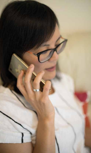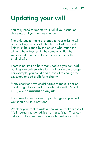## Updating your will

You may need to update your will if your situation changes, or if your wishes change.

The only way to make a change to your existing will is by making an official alteration called a codicil. This must be signed by the person who made the will and be witnessed in the same way. But the witnesses do not need to be the same as for the original will.

There is no limit on how many codicils you can add, but they are only suitable for small or simple changes. For example, you could add a codicil to change the executors or add a gift for a charity.

Many charities have codicil forms to make it easier to add a gift to your will. To order Macmillan's codicil form, visit be.macmillan.org.uk

If you need to make any major changes to your will, you should write a new one.

Whether you want to write a new will or make a codicil, it is important to get advice from a solicitor. They can help to make sure a new or updated will is still valid.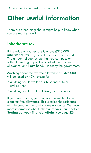## Other useful information

There are other things that it might help to know when you are making a will.

## Inheritance tax

If the value of your **estate** is above £325,000, inheritance tax may need to be paid when you die. The amount of your estate that you can pass on without needing to pay tax is called the tax-free allowance, or nil-rate band. It is set by the government.

Anything above the tax-free allowance of £325,000 will be taxed by 40%, except for:

- anything you leave to your husband, wife or civil partner
- anything you leave to a UK-registered charity.

If you own a home, you may also be entitled to an extra tax-free allowance. This is called the residence nil-rate band, or the family home allowance. We have more information about inheritance tax in our booklet Sorting out your financial affairs (see page 22).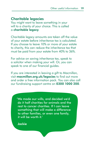#### Charitable legacies

You might want to leave something in your will to a charity of your choice. This is called a charitable legacy.

Charitable legacy amounts are taken off the value of your estate before inheritance tax is calculated. If you choose to leave 10% or more of your estate to charity, this can reduce the inheritance tax that must be paid from your estate from 40% to 36%.

For advice on saving inheritance tax, speak to a solicitor when making your will. Or, you can speak to one of our financial guides.

If you are interested in leaving a gift to Macmillan, visit macmillan.org.uk/legacies to find out more and order a free information pack. You can also call our fundraising support centre on 0300 1000 200.

'We made our wills, and decided we'd do it half charities for animals and the rest to cancer charities. If I can leave something that will make a difference to other families, or even one family, it will be worth it.'

Jackie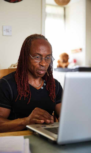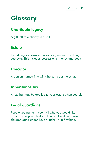## Glossary

### Charitable legacy

A gift left to a charity in a will.

### **Fstate**

Everything you own when you die, minus everything you owe. This includes possessions, money and debts.

#### Executor

A person named in a will who sorts out the estate.

### Inheritance tax

A tax that may be applied to your estate when you die.

### Legal guardians

People you name in your will who you would like to look after your children. This applies if you have children aged under 18, or under 16 in Scotland.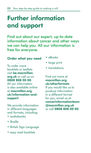## Further information and support

Find out about our expert, up-to-date information about cancer and other ways we can help you. All our information is free for everyone.

#### Order what you need

To order more booklets or leaflets visit be.macmillan. org.uk or call us on 0808 808 00 00. All our information is also available online at macmillan.org. uk/information-andsupport

We provide information in different languages and formats, including:

- audiobooks
- Braille
- British Sign Language
- easy read booklets
- eBooks
- large print
- translations.

Find out more at macmillan.org. uk/otherformats If you would like us to produce information in a different format for you, email us at cancerinformationteam @macmillan.org.uk or call 0808 808 00 00.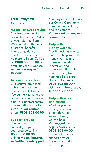#### Other ways we can help

#### Macmillan Support Line

Our free, confidential phone line is open 7 days a week, 8am to 8pm. We can help with medical questions, benefits, financial guidance and local services, or just be there to listen. Call us on 0808 808 00 00 or email us via our website, macmillan.org.uk/ talktous

#### Information centres

Our centres are based in hospitals, libraries and on mobile buses. You can talk to someone or get more information. Find your nearest centre at macmillan.org.uk/ information centres or call 0808 808 00 00.

#### Support groups

You can find support groups in your area by calling 0808 808 00 00 or visiting macmillan.org. uk/selfhelpandsupport You may also want to use our Online Community to make friends, blog, and read stories. Visit macmillan.org.uk/ community

#### Help with money worries

Our financial guidance team can help you with money worries and accessing benefits. Macmillan also offers one-off grants – for anything from heating bills to extra clothing. Call us on 0808 808 00 00 or visit macmillan.org.uk/ financialsupport

#### Help with work and cancer

Whether you are an employee, a carer, an employer or self-employed, we can help. Visit macmillan. org.uk/work or call 0808 808 00 00

to speak to a work support adviser (Monday to Friday, 8am to 6pm).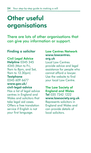## Other useful organisations

There are lots of other organisations that can give you information or support.

#### Finding a solicitor

#### Civil Legal Advice Helpline 0345 345 4345 (Mon to Fri, 9am to 8pm, and Sat, 9am to 12.30pm) **Textphone** 0345 609 6677 www.gov.uk/ civil-legal-advice

Has a list of legal advice centres in England and Wales and solicitors that take legal aid cases. Offers a free translation service if English is not your first language.

#### Law Centres Network www.lawcentres. org.uk

Local Law Centres provide advice and legal assistance for people who cannot afford a lawyer. Use the website to find your local Law Centre.

The Law Society of England and Wales Tel 020 7242 1222 www.lawsociety.org.uk Represents solicitors in England and Wales and can provide details of local solicitors.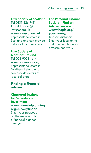Law Society of Scotland Tel 0131 226 7411 Email lawscot@ lawscot.org.uk www.lawscot.org.uk Represents solicitors in Scotland and can provide details of local solicitors.

Law Society of Northern Ireland Tel 028 9023 1614 www.lawsoc-ni.org Represents solicitors in Northern Ireland and can provide details of local solicitors.

#### Finding a financial adviser

Chartered Institute for Securities and Investment www.financialplanning. org.uk/wayfinder

Enter your postcode on the website to find a financial planner near you.

The Personal Finance Society – Find an Adviser service www.thepfs.org/ yourmoney/ find-an-adviser Enter your location to find qualified financial advisers near you.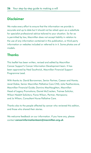#### Disclaimer

We make every effort to ensure that the information we provide is accurate and up to date but it should not be relied upon as a substitute for specialist professional advice tailored to your situation. So far as is permitted by law, Macmillan does not accept liability in relation to the use of any information contained in this publication, or third-party information or websites included or referred to in it. Some photos are of models.

#### **Thanks**

This leaflet has been written, revised and edited by Macmillan Cancer Support's Cancer Information Development team. It has been approved by Neal Southwick, Macmillan Financial Support Programme Lead.

With thanks to: David Borrowman, Senior Partner, Caesar and Howie; Janet Dobie, Senior Macmillan Palliative Care CNS; Julia Featherstone, Macmillan Financial Guide; Domino MacNaughton, Macmillan Head of Legacy Promotions; Daniel McCracken, Trainee Solicitor, Wilson Nesbitt Solicitors; Fiona Wilson, Partner, Hempsons; and Jo Wilson, Consultant Nurse Palliative Care.

Thanks also to the people affected by cancer who reviewed this edition, and those who shared their stories.

We welcome feedback on our information. If you have any, please contact cancerinformationteam@macmillan.org.uk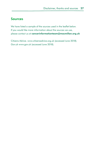#### Sources

We have listed a sample of the sources used in the leaflet below. If you would like more information about the sources we use, please contact us at cancerinformationteam@macmillan.org.uk

Citizens Advice. www.citizensadvice.org.uk (accessed June 2018). Gov.uk www.gov.uk (accessed June 2018).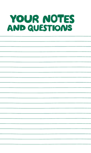